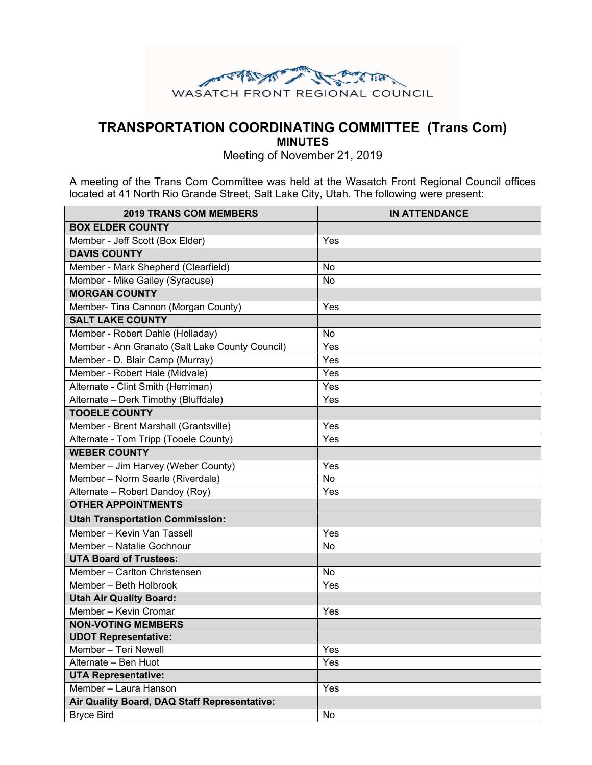

## **TRANSPORTATION COORDINATING COMMITTEE (Trans Com)**

**MINUTES**

Meeting of November 21, 2019

A meeting of the Trans Com Committee was held at the Wasatch Front Regional Council offices located at 41 North Rio Grande Street, Salt Lake City, Utah. The following were present:

| <b>2019 TRANS COM MEMBERS</b>                   | <b>IN ATTENDANCE</b> |
|-------------------------------------------------|----------------------|
| <b>BOX ELDER COUNTY</b>                         |                      |
| Member - Jeff Scott (Box Elder)                 | Yes                  |
| <b>DAVIS COUNTY</b>                             |                      |
| Member - Mark Shepherd (Clearfield)             | No                   |
| Member - Mike Gailey (Syracuse)                 | No                   |
| <b>MORGAN COUNTY</b>                            |                      |
| Member- Tina Cannon (Morgan County)             | Yes                  |
| <b>SALT LAKE COUNTY</b>                         |                      |
| Member - Robert Dahle (Holladay)                | No                   |
| Member - Ann Granato (Salt Lake County Council) | Yes                  |
| Member - D. Blair Camp (Murray)                 | Yes                  |
| Member - Robert Hale (Midvale)                  | Yes                  |
| Alternate - Clint Smith (Herriman)              | Yes                  |
| Alternate - Derk Timothy (Bluffdale)            | Yes                  |
| <b>TOOELE COUNTY</b>                            |                      |
| Member - Brent Marshall (Grantsville)           | Yes                  |
| Alternate - Tom Tripp (Tooele County)           | Yes                  |
| <b>WEBER COUNTY</b>                             |                      |
| Member - Jim Harvey (Weber County)              | Yes                  |
| Member - Norm Searle (Riverdale)                | No                   |
| Alternate - Robert Dandoy (Roy)                 | Yes                  |
| <b>OTHER APPOINTMENTS</b>                       |                      |
| <b>Utah Transportation Commission:</b>          |                      |
| Member - Kevin Van Tassell                      | Yes                  |
| Member - Natalie Gochnour                       | No                   |
| <b>UTA Board of Trustees:</b>                   |                      |
| Member - Carlton Christensen                    | No                   |
| Member - Beth Holbrook                          | Yes                  |
| <b>Utah Air Quality Board:</b>                  |                      |
| Member - Kevin Cromar                           | Yes                  |
| <b>NON-VOTING MEMBERS</b>                       |                      |
| <b>UDOT Representative:</b>                     |                      |
| Member - Teri Newell                            | Yes                  |
| Alternate - Ben Huot                            | Yes                  |
| <b>UTA Representative:</b>                      |                      |
| Member - Laura Hanson                           | Yes                  |
| Air Quality Board, DAQ Staff Representative:    |                      |
| <b>Bryce Bird</b>                               | No                   |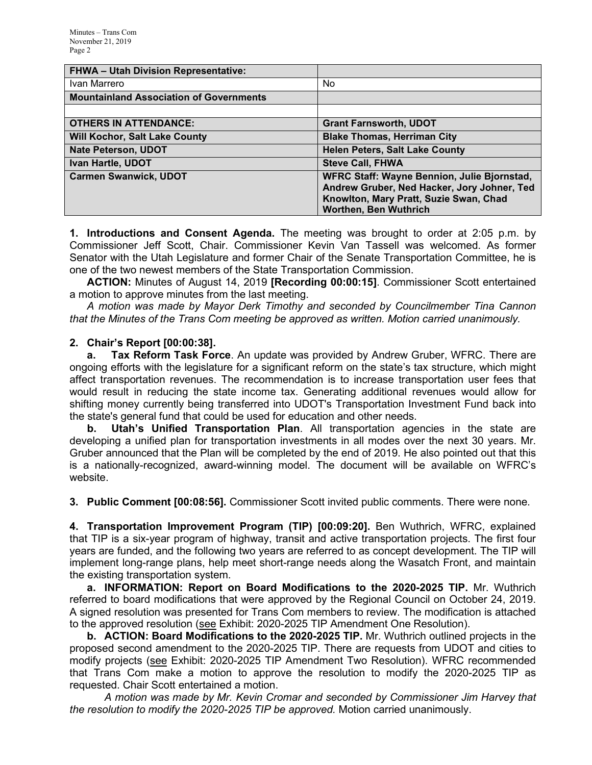| FHWA - Utah Division Representative:           |                                                    |
|------------------------------------------------|----------------------------------------------------|
| Ivan Marrero                                   | No.                                                |
| <b>Mountainland Association of Governments</b> |                                                    |
|                                                |                                                    |
| <b>OTHERS IN ATTENDANCE:</b>                   | <b>Grant Farnsworth, UDOT</b>                      |
| <b>Will Kochor, Salt Lake County</b>           | <b>Blake Thomas, Herriman City</b>                 |
| <b>Nate Peterson, UDOT</b>                     | <b>Helen Peters, Salt Lake County</b>              |
| Ivan Hartle, UDOT                              | <b>Steve Call, FHWA</b>                            |
| <b>Carmen Swanwick, UDOT</b>                   | <b>WFRC Staff: Wayne Bennion, Julie Bjornstad,</b> |
|                                                | Andrew Gruber, Ned Hacker, Jory Johner, Ted        |
|                                                | Knowlton, Mary Pratt, Suzie Swan, Chad             |
|                                                | <b>Worthen, Ben Wuthrich</b>                       |

**1. Introductions and Consent Agenda.** The meeting was brought to order at 2:05 p.m. by Commissioner Jeff Scott, Chair. Commissioner Kevin Van Tassell was welcomed. As former Senator with the Utah Legislature and former Chair of the Senate Transportation Committee, he is one of the two newest members of the State Transportation Commission.

**ACTION:** Minutes of August 14, 2019 **[Recording 00:00:15]**. Commissioner Scott entertained a motion to approve minutes from the last meeting.

*A motion was made by Mayor Derk Timothy and seconded by Councilmember Tina Cannon that the Minutes of the Trans Com meeting be approved as written. Motion carried unanimously.*

## **2. Chair's Report [00:00:38].**

**a. Tax Reform Task Force**. An update was provided by Andrew Gruber, WFRC. There are ongoing efforts with the legislature for a significant reform on the state's tax structure, which might affect transportation revenues. The recommendation is to increase transportation user fees that would result in reducing the state income tax. Generating additional revenues would allow for shifting money currently being transferred into UDOT's Transportation Investment Fund back into the state's general fund that could be used for education and other needs.

**b. Utah's Unified Transportation Plan**. All transportation agencies in the state are developing a unified plan for transportation investments in all modes over the next 30 years. Mr. Gruber announced that the Plan will be completed by the end of 2019. He also pointed out that this is a nationally-recognized, award-winning model. The document will be available on WFRC's website.

**3. Public Comment [00:08:56].** Commissioner Scott invited public comments. There were none.

**4. Transportation Improvement Program (TIP) [00:09:20].** Ben Wuthrich, WFRC, explained that TIP is a six-year program of highway, transit and active transportation projects. The first four years are funded, and the following two years are referred to as concept development. The TIP will implement long-range plans, help meet short-range needs along the Wasatch Front, and maintain the existing transportation system.

**a. INFORMATION: Report on Board Modifications to the 2020-2025 TIP.** Mr. Wuthrich referred to board modifications that were approved by the Regional Council on October 24, 2019. A signed resolution was presented for Trans Com members to review. The modification is attached to the approved resolution (see Exhibit: 2020-2025 TIP Amendment One Resolution).

**b. ACTION: Board Modifications to the 2020-2025 TIP.** Mr. Wuthrich outlined projects in the proposed second amendment to the 2020-2025 TIP. There are requests from UDOT and cities to modify projects (see Exhibit: 2020-2025 TIP Amendment Two Resolution). WFRC recommended that Trans Com make a motion to approve the resolution to modify the 2020-2025 TIP as requested. Chair Scott entertained a motion.

*A motion was made by Mr. Kevin Cromar and seconded by Commissioner Jim Harvey that the resolution to modify the 2020-2025 TIP be approved.* Motion carried unanimously.